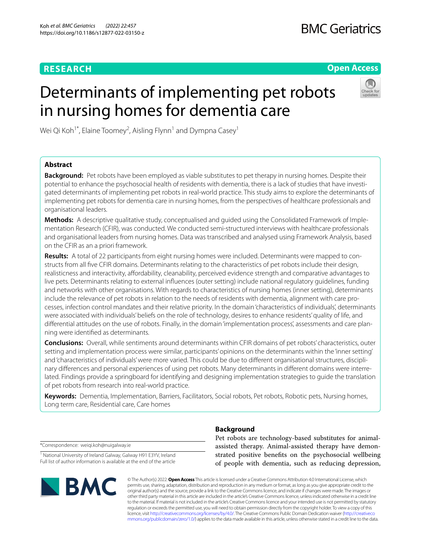# **RESEARCH**

# **Open Access**

# Determinants of implementing pet robots in nursing homes for dementia care



Wei Qi Koh $^{1^\ast}$ , Elaine Toomey $^2$ , Aisling Flynn $^1$  and Dympna Casey $^1$ 

# **Abstract**

**Background:** Pet robots have been employed as viable substitutes to pet therapy in nursing homes. Despite their potential to enhance the psychosocial health of residents with dementia, there is a lack of studies that have investigated determinants of implementing pet robots in real-world practice. This study aims to explore the determinants of implementing pet robots for dementia care in nursing homes, from the perspectives of healthcare professionals and organisational leaders.

**Methods:** A descriptive qualitative study, conceptualised and guided using the Consolidated Framework of Implementation Research (CFIR), was conducted. We conducted semi-structured interviews with healthcare professionals and organisational leaders from nursing homes. Data was transcribed and analysed using Framework Analysis, based on the CFIR as an a priori framework.

**Results:** A total of 22 participants from eight nursing homes were included. Determinants were mapped to constructs from all fve CFIR domains. Determinants relating to the characteristics of pet robots include their design, realisticness and interactivity, affordability, cleanability, perceived evidence strength and comparative advantages to live pets. Determinants relating to external infuences (outer setting) include national regulatory guidelines, funding and networks with other organisations. With regards to characteristics of nursing homes (inner setting), determinants include the relevance of pet robots in relation to the needs of residents with dementia, alignment with care processes, infection control mandates and their relative priority. In the domain 'characteristics of individuals', determinants were associated with individuals' beliefs on the role of technology, desires to enhance residents' quality of life, and diferential attitudes on the use of robots. Finally, in the domain 'implementation process', assessments and care planning were identifed as determinants.

**Conclusions:** Overall, while sentiments around determinants within CFIR domains of pet robots' characteristics, outer setting and implementation process were similar, participants' opinions on the determinants within the 'inner setting' and 'characteristics of individuals' were more varied. This could be due to diferent organisational structures, disciplinary diferences and personal experiences of using pet robots. Many determinants in diferent domains were interrelated. Findings provide a springboard for identifying and designing implementation strategies to guide the translation of pet robots from research into real-world practice.

**Keywords:** Dementia, Implementation, Barriers, Facilitators, Social robots, Pet robots, Robotic pets, Nursing homes, Long term care, Residential care, Care homes

\*Correspondence: weiqi.koh@nuigalway.ie

<sup>1</sup> National University of Ireland Galway, Galway H91 E3YV, Ireland Full list of author information is available at the end of the article



# **Background**

Pet robots are technology-based substitutes for animalassisted therapy. Animal-assisted therapy have demonstrated positive benefts on the psychosocial wellbeing of people with dementia, such as reducing depression,

© The Author(s) 2022. **Open Access** This article is licensed under a Creative Commons Attribution 4.0 International License, which permits use, sharing, adaptation, distribution and reproduction in any medium or format, as long as you give appropriate credit to the original author(s) and the source, provide a link to the Creative Commons licence, and indicate if changes were made. The images or other third party material in this article are included in the article's Creative Commons licence, unless indicated otherwise in a credit line to the material. If material is not included in the article's Creative Commons licence and your intended use is not permitted by statutory regulation or exceeds the permitted use, you will need to obtain permission directly from the copyright holder. To view a copy of this licence, visit [http://creativecommons.org/licenses/by/4.0/.](http://creativecommons.org/licenses/by/4.0/) The Creative Commons Public Domain Dedication waiver ([http://creativeco](http://creativecommons.org/publicdomain/zero/1.0/) [mmons.org/publicdomain/zero/1.0/](http://creativecommons.org/publicdomain/zero/1.0/)) applies to the data made available in this article, unless otherwise stated in a credit line to the data.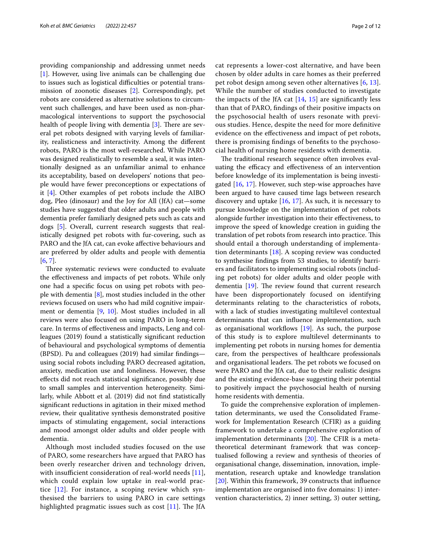providing companionship and addressing unmet needs [[1\]](#page-10-0). However, using live animals can be challenging due to issues such as logistical difficulties or potential transmission of zoonotic diseases [\[2](#page-10-1)]. Correspondingly, pet robots are considered as alternative solutions to circumvent such challenges, and have been used as non-pharmacological interventions to support the psychosocial health of people living with dementia  $[3]$  $[3]$ . There are several pet robots designed with varying levels of familiarity, realisticness and interactivity. Among the diferent robots, PARO is the most well-researched. While PARO was designed realistically to resemble a seal, it was intentionally designed as an unfamiliar animal to enhance its acceptability, based on developers' notions that people would have fewer preconceptions or expectations of it [[4\]](#page-10-3). Other examples of pet robots include the AIBO dog, Pleo (dinosaur) and the Joy for All (JfA) cat—some studies have suggested that older adults and people with dementia prefer familiarly designed pets such as cats and dogs [[5\]](#page-10-4). Overall, current research suggests that realistically designed pet robots with fur-covering, such as PARO and the JfA cat, can evoke afective behaviours and are preferred by older adults and people with dementia [[6,](#page-10-5) [7](#page-10-6)].

Three systematic reviews were conducted to evaluate the efectiveness and impacts of pet robots. While only one had a specifc focus on using pet robots with people with dementia [[8\]](#page-10-7), most studies included in the other reviews focused on users who had mild cognitive impairment or dementia [[9](#page-10-8), [10\]](#page-10-9). Most studies included in all reviews were also focused on using PARO in long-term care. In terms of efectiveness and impacts, Leng and colleagues (2019) found a statistically signifcant reduction of behavioural and psychological symptoms of dementia (BPSD). Pu and colleagues (2019) had similar fndings using social robots including PARO decreased agitation, anxiety, medication use and loneliness. However, these efects did not reach statistical signifcance, possibly due to small samples and intervention heterogeneity. Similarly, while Abbott et al. (2019) did not fnd statistically signifcant reductions in agitation in their mixed method review, their qualitative synthesis demonstrated positive impacts of stimulating engagement, social interactions and mood amongst older adults and older people with dementia.

Although most included studies focused on the use of PARO, some researchers have argued that PARO has been overly researcher driven and technology driven, with insufficient consideration of real-world needs  $[11]$  $[11]$ , which could explain low uptake in real-world practice  $[12]$  $[12]$ . For instance, a scoping review which synthesised the barriers to using PARO in care settings highlighted pragmatic issues such as cost  $[11]$  $[11]$ . The JfA

cat represents a lower-cost alternative, and have been chosen by older adults in care homes as their preferred pet robot design among seven other alternatives [[6](#page-10-5), [13](#page-11-1)]. While the number of studies conducted to investigate the impacts of the JfA cat  $[14, 15]$  $[14, 15]$  $[14, 15]$  $[14, 15]$  are significantly less than that of PARO, fndings of their positive impacts on the psychosocial health of users resonate with previous studies. Hence, despite the need for more defnitive evidence on the efectiveness and impact of pet robots, there is promising fndings of benefts to the psychosocial health of nursing home residents with dementia.

The traditional research sequence often involves evaluating the efficacy and effectiveness of an intervention before knowledge of its implementation is being investigated [[16,](#page-11-4) [17\]](#page-11-5). However, such step-wise approaches have been argued to have caused time lags between research discovery and uptake [\[16](#page-11-4), [17](#page-11-5)]. As such, it is necessary to pursue knowledge on the implementation of pet robots alongside further investigation into their efectiveness, to improve the speed of knowledge creation in guiding the translation of pet robots from research into practice. This should entail a thorough understanding of implementation determinants [[18\]](#page-11-6). A scoping review was conducted to synthesise fndings from 53 studies, to identify barriers and facilitators to implementing social robots (including pet robots) for older adults and older people with dementia  $[19]$  $[19]$ . The review found that current research have been disproportionately focused on identifying determinants relating to the characteristics of robots, with a lack of studies investigating multilevel contextual determinants that can infuence implementation, such as organisational workflows  $[19]$  $[19]$ . As such, the purpose of this study is to explore multilevel determinants to implementing pet robots in nursing homes for dementia care, from the perspectives of healthcare professionals and organisational leaders. The pet robots we focused on were PARO and the JfA cat, due to their realistic designs and the existing evidence-base suggesting their potential to positively impact the psychosocial health of nursing home residents with dementia.

To guide the comprehensive exploration of implementation determinants, we used the Consolidated Framework for Implementation Research (CFIR) as a guiding framework to undertake a comprehensive exploration of implementation determinants  $[20]$  $[20]$  $[20]$ . The CFIR is a metatheoretical determinant framework that was conceptualised following a review and synthesis of theories of organisational change, dissemination, innovation, implementation, research uptake and knowledge translation [[20\]](#page-11-8). Within this framework, 39 constructs that infuence implementation are organised into fve domains: 1) intervention characteristics, 2) inner setting, 3) outer setting,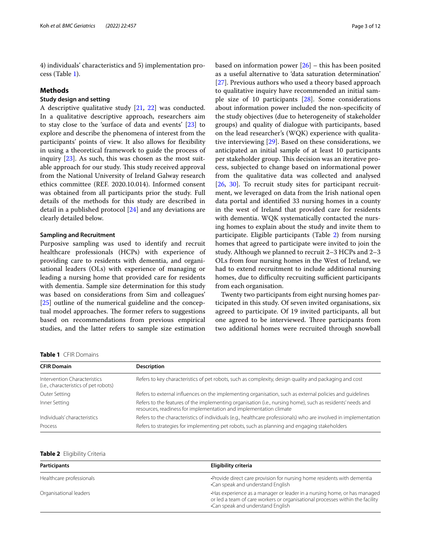4) individuals' characteristics and 5) implementation process (Table [1](#page-2-0)).

#### **Methods**

# **Study design and setting**

A descriptive qualitative study [[21](#page-11-9), [22\]](#page-11-10) was conducted. In a qualitative descriptive approach, researchers aim to stay close to the 'surface of data and events' [\[23](#page-11-11)] to explore and describe the phenomena of interest from the participants' points of view. It also allows for fexibility in using a theoretical framework to guide the process of inquiry [\[23\]](#page-11-11). As such, this was chosen as the most suitable approach for our study. This study received approval from the National University of Ireland Galway research ethics committee (REF. 2020.10.014). Informed consent was obtained from all participants prior the study. Full details of the methods for this study are described in detail in a published protocol [\[24\]](#page-11-12) and any deviations are clearly detailed below.

# **Sampling and Recruitment**

Purposive sampling was used to identify and recruit healthcare professionals (HCPs) with experience of providing care to residents with dementia, and organisational leaders (OLs) with experience of managing or leading a nursing home that provided care for residents with dementia. Sample size determination for this study was based on considerations from Sim and colleagues' [[25\]](#page-11-13) outline of the numerical guideline and the conceptual model approaches. The former refers to suggestions based on recommendations from previous empirical studies, and the latter refers to sample size estimation based on information power  $[26]$  $[26]$  – this has been posited as a useful alternative to 'data saturation determination' [[27\]](#page-11-15). Previous authors who used a theory based approach to qualitative inquiry have recommended an initial sample size of 10 participants [[28\]](#page-11-16). Some considerations about information power included the non-specifcity of the study objectives (due to heterogeneity of stakeholder groups) and quality of dialogue with participants, based on the lead researcher's (WQK) experience with qualitative interviewing [[29\]](#page-11-17). Based on these considerations, we anticipated an initial sample of at least 10 participants per stakeholder group. This decision was an iterative process, subjected to change based on informational power from the qualitative data was collected and analysed [[26,](#page-11-14) [30](#page-11-18)]. To recruit study sites for participant recruitment, we leveraged on data from the Irish national open data portal and identifed 33 nursing homes in a county in the west of Ireland that provided care for residents with dementia. WQK systematically contacted the nursing homes to explain about the study and invite them to participate. Eligible participants (Table [2](#page-2-1)) from nursing homes that agreed to participate were invited to join the study. Although we planned to recruit 2–3 HCPs and 2–3 OLs from four nursing homes in the West of Ireland, we had to extend recruitment to include additional nursing homes, due to difficulty recruiting sufficient participants from each organisation.

Twenty two participants from eight nursing homes participated in this study. Of seven invited organisations, six agreed to participate. Of 19 invited participants, all but one agreed to be interviewed. Three participants from two additional homes were recruited through snowball

<span id="page-2-0"></span>

| Table 1 CFIR Domains |  |
|----------------------|--|
|----------------------|--|

| <b>CFIR Domain</b>                                                    | <b>Description</b>                                                                                                                                                               |
|-----------------------------------------------------------------------|----------------------------------------------------------------------------------------------------------------------------------------------------------------------------------|
| Intervention Characteristics<br>(i.e., characteristics of pet robots) | Refers to key characteristics of pet robots, such as complexity, design quality and packaging and cost                                                                           |
| Outer Setting                                                         | Refers to external influences on the implementing organisation, such as external policies and quidelines                                                                         |
| Inner Setting                                                         | Refers to the features of the implementing organisation (i.e., nursing home), such as residents' needs and<br>resources, readiness for implementation and implementation climate |
| Individuals' characteristics                                          | Refers to the characteristics of individuals (e.g., healthcare professionals) who are involved in implementation                                                                 |
| Process                                                               | Refers to strategies for implementing pet robots, such as planning and engaging stakeholders                                                                                     |

#### <span id="page-2-1"></span>**Table 2** Eligibility Criteria

| <b>Participants</b>      | Eligibility criteria                                                                                                                                                                          |  |
|--------------------------|-----------------------------------------------------------------------------------------------------------------------------------------------------------------------------------------------|--|
| Healthcare professionals | • Provide direct care provision for nursing home residents with dementia<br>•Can speak and understand English                                                                                 |  |
| Organisational leaders   | Has experience as a manager or leader in a nursing home, or has managed<br>or led a team of care workers or organisational processes within the facility<br>•Can speak and understand English |  |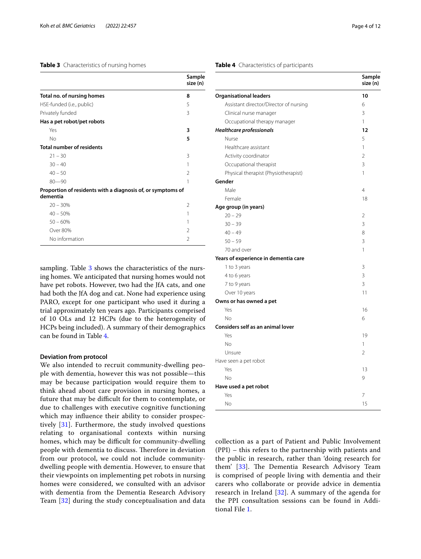# <span id="page-3-0"></span>**Table 3** Characteristics of nursing homes

|                                                                         | Sample<br>size (n) |
|-------------------------------------------------------------------------|--------------------|
| Total no. of nursing homes                                              | 8                  |
| HSE-funded (i.e., public)                                               | 5                  |
| Privately funded                                                        | 3                  |
| Has a pet robot/pet robots                                              |                    |
| Yes                                                                     | 3                  |
| No                                                                      | 5                  |
| <b>Total number of residents</b>                                        |                    |
| $21 - 30$                                                               | 3                  |
| $30 - 40$                                                               | 1                  |
| $40 - 50$                                                               | $\mathfrak{D}$     |
| $80 - 90$                                                               | 1                  |
| Proportion of residents with a diagnosis of, or symptoms of<br>dementia |                    |
| $20 - 30%$                                                              | $\mathfrak{D}$     |
| $40 - 50%$                                                              | 1                  |
| $50 - 60%$                                                              | 1                  |
| Over 80%                                                                | $\mathfrak{D}$     |
| No information                                                          | $\mathfrak{D}$     |

sampling. Table [3](#page-3-0) shows the characteristics of the nursing homes. We anticipated that nursing homes would not have pet robots. However, two had the JfA cats, and one had both the JfA dog and cat. None had experience using PARO, except for one participant who used it during a trial approximately ten years ago. Participants comprised of 10 OLs and 12 HCPs (due to the heterogeneity of HCPs being included). A summary of their demographics can be found in Table [4.](#page-3-1)

## **Deviation from protocol**

We also intended to recruit community-dwelling people with dementia, however this was not possible—this may be because participation would require them to think ahead about care provision in nursing homes, a future that may be difficult for them to contemplate, or due to challenges with executive cognitive functioning which may infuence their ability to consider prospectively [[31\]](#page-11-19). Furthermore, the study involved questions relating to organisational contexts within nursing homes, which may be difficult for community-dwelling people with dementia to discuss. Therefore in deviation from our protocol, we could not include communitydwelling people with dementia. However, to ensure that their viewpoints on implementing pet robots in nursing homes were considered, we consulted with an advisor with dementia from the Dementia Research Advisory Team [\[32\]](#page-11-20) during the study conceptualisation and data

## <span id="page-3-1"></span>**Table 4** Characteristics of participants

|                                          | Sample<br>size (n) |
|------------------------------------------|--------------------|
| <b>Organisational leaders</b>            | 10                 |
| Assistant director/Director of nursing   | 6                  |
| Clinical nurse manager                   | 3                  |
| Occupational therapy manager             | 1                  |
| <b>Healthcare professionals</b>          | 12                 |
| Nurse                                    | 5                  |
| Healthcare assistant                     | 1                  |
| Activity coordinator                     | $\overline{2}$     |
| Occupational therapist                   | 3                  |
| Physical therapist (Physiotherapist)     | 1                  |
| Gender                                   |                    |
| Male                                     | $\overline{4}$     |
| Female                                   | 18                 |
| Age group (in years)                     |                    |
| $20 - 29$                                | 2                  |
| $30 - 39$                                | 3                  |
| $40 - 49$                                | 8                  |
| $50 - 59$                                | 3                  |
| 70 and over                              | 1                  |
| Years of experience in dementia care     |                    |
| 1 to 3 years                             | 3                  |
| 4 to 6 years                             | 3                  |
| 7 to 9 years                             | 3                  |
| Over 10 years                            | 11                 |
| Owns or has owned a pet                  |                    |
| Yes                                      | 16                 |
| No                                       | 6                  |
| <b>Considers self as an animal lover</b> |                    |
| Yes                                      | 19                 |
| No                                       | 1                  |
| Unsure                                   | $\overline{2}$     |
| Have seen a pet robot                    |                    |
| Yes                                      | 13                 |
| No                                       | 9                  |
| Have used a pet robot                    |                    |
| Yes                                      | 7                  |
| No                                       | 15                 |

collection as a part of Patient and Public Involvement (PPI) – this refers to the partnership with patients and the public in research, rather than 'doing research for them' [\[33\]](#page-11-21). The Dementia Research Advisory Team is comprised of people living with dementia and their carers who collaborate or provide advice in dementia research in Ireland  $[32]$  $[32]$ . A summary of the agenda for the PPI consultation sessions can be found in Additional File [1](#page-10-11).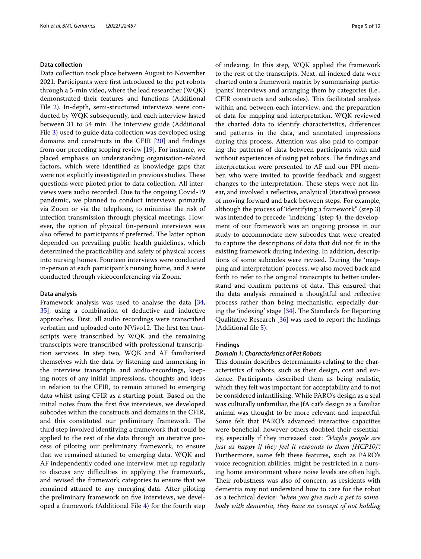#### **Data collection**

Data collection took place between August to November 2021. Participants were frst introduced to the pet robots through a 5-min video, where the lead researcher (WQK) demonstrated their features and functions (Additional File [2](#page-10-12)). In-depth, semi-structured interviews were conducted by WQK subsequently, and each interview lasted between 31 to 54 min. The interview guide (Additional File [3\)](#page-10-13) used to guide data collection was developed using domains and constructs in the CFIR [\[20\]](#page-11-8) and fndings from our preceding scoping review [\[19](#page-11-7)]. For instance, we placed emphasis on understanding organisation-related factors, which were identifed as knowledge gaps that were not explicitly investigated in previous studies. These questions were piloted prior to data collection. All interviews were audio recorded. Due to the ongoing Covid-19 pandemic, we planned to conduct interviews primarily via Zoom or via the telephone, to minimise the risk of infection transmission through physical meetings. However, the option of physical (in-person) interviews was also offered to participants if preferred. The latter option depended on prevailing public health guidelines, which determined the practicability and safety of physical access into nursing homes. Fourteen interviews were conducted in-person at each participant's nursing home, and 8 were conducted through videoconferencing via Zoom.

# **Data analysis**

Framework analysis was used to analyse the data [\[34](#page-11-22), [35\]](#page-11-23), using a combination of deductive and inductive approaches. First, all audio recordings were transcribed verbatim and uploaded onto NVivo12. The first ten transcripts were transcribed by WQK and the remaining transcripts were transcribed with professional transcription services. In step two, WQK and AF familiarised themselves with the data by listening and immersing in the interview transcripts and audio-recordings, keeping notes of any initial impressions, thoughts and ideas in relation to the CFIR, to remain attuned to emerging data whilst using CFIR as a starting point. Based on the initial notes from the frst fve interviews, we developed subcodes within the constructs and domains in the CFIR, and this constituted our preliminary framework. The third step involved identifying a framework that could be applied to the rest of the data through an iterative process of piloting our preliminary framework, to ensure that we remained attuned to emerging data. WQK and AF independently coded one interview, met up regularly to discuss any difculties in applying the framework, and revised the framework categories to ensure that we remained attuned to any emerging data. After piloting the preliminary framework on fve interviews, we developed a framework (Additional File [4\)](#page-10-14) for the fourth step of indexing. In this step, WQK applied the framework to the rest of the transcripts. Next, all indexed data were charted onto a framework matrix by summarising participants' interviews and arranging them by categories (i.e., CFIR constructs and subcodes). This facilitated analysis within and between each interview, and the preparation of data for mapping and interpretation. WQK reviewed the charted data to identify characteristics, diferences and patterns in the data, and annotated impressions during this process. Attention was also paid to comparing the patterns of data between participants with and without experiences of using pet robots. The findings and interpretation were presented to AF and our PPI member, who were invited to provide feedback and suggest changes to the interpretation. These steps were not linear, and involved a refective, analytical (iterative) process of moving forward and back between steps. For example, although the process of 'identifying a framework" (step 3) was intended to precede "indexing" (step 4), the development of our framework was an ongoing process in our study to accommodate new subcodes that were created to capture the descriptions of data that did not ft in the existing framework during indexing. In addition, descriptions of some subcodes were revised. During the 'mapping and interpretation' process, we also moved back and forth to refer to the original transcripts to better understand and confirm patterns of data. This ensured that the data analysis remained a thoughtful and refective process rather than being mechanistic, especially during the 'indexing' stage  $[34]$ . The Standards for Reporting Qualitative Research [\[36](#page-11-24)] was used to report the fndings (Additional fle [5](#page-10-15)).

#### **Findings**

#### *Domain 1: Characteristics of Pet Robots*

This domain describes determinants relating to the characteristics of robots, such as their design, cost and evidence. Participants described them as being realistic, which they felt was important for acceptability and to not be considered infantilising. While PARO's design as a seal was culturally unfamiliar, the JfA cat's design as a familiar animal was thought to be more relevant and impactful. Some felt that PARO's advanced interactive capacities were benefcial, however others doubted their essentiality, especially if they increased cost: *"Maybe people are just as happy if they feel it responds to them [HCP10]".* Furthermore, some felt these features, such as PARO's voice recognition abilities, might be restricted in a nursing home environment where noise levels are often high. Their robustness was also of concern, as residents with dementia may not understand how to care for the robot as a technical device: *"when you give such a pet to somebody with dementia, they have no concept of not holding*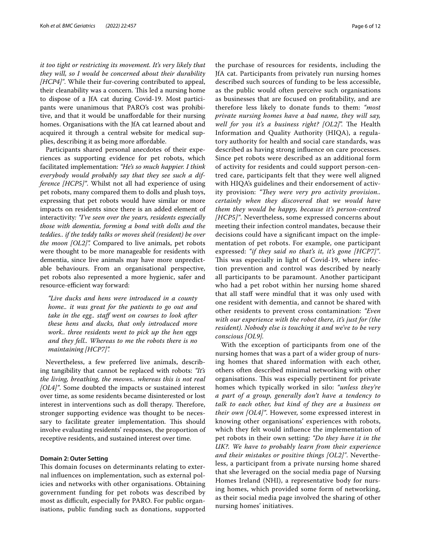*it too tight or restricting its movement. It's very likely that they will, so I would be concerned about their durability [HCP4]"*. While their fur-covering contributed to appeal, their cleanability was a concern. This led a nursing home to dispose of a JfA cat during Covid-19. Most participants were unanimous that PARO's cost was prohibitive, and that it would be unafordable for their nursing homes. Organisations with the JfA cat learned about and acquired it through a central website for medical supplies, describing it as being more afordable.

Participants shared personal anecdotes of their experiences as supporting evidence for pet robots, which facilitated implementation: *"He's so much happier. I think everybody would probably say that they see such a difference [HCP5]"*. Whilst not all had experience of using pet robots, many compared them to dolls and plush toys, expressing that pet robots would have similar or more impacts on residents since there is an added element of interactivity*: "I've seen over the years, residents especially those with dementia, forming a bond with dolls and the teddies.. if the teddy talks or moves she'd (resident) be over the moon [OL2]".* Compared to live animals, pet robots were thought to be more manageable for residents with dementia, since live animals may have more unpredictable behaviours. From an organisational perspective, pet robots also represented a more hygienic, safer and resource-efficient way forward:

*"Live ducks and hens were introduced in a county home.. it was great for the patients to go out and*  take in the egg.. staff went on courses to look after *these hens and ducks, that only introduced more work.. three residents went to pick up the hen eggs and they fell.. Whereas to me the robots there is no maintaining [HCP7]".*

Nevertheless, a few preferred live animals, describing tangibility that cannot be replaced with robots: *"It's the living, breathing, the meows.. whereas this is not real [OL4]"*. Some doubted the impacts or sustained interest over time, as some residents became disinterested or lost interest in interventions such as doll therapy. Therefore, stronger supporting evidence was thought to be necessary to facilitate greater implementation. This should involve evaluating residents' responses, the proportion of receptive residents, and sustained interest over time.

# **Domain 2: Outer Setting**

This domain focuses on determinants relating to external infuences on implementation, such as external policies and networks with other organisations. Obtaining government funding for pet robots was described by most as difficult, especially for PARO. For public organisations, public funding such as donations, supported

the purchase of resources for residents, including the JfA cat. Participants from privately run nursing homes described such sources of funding to be less accessible, as the public would often perceive such organisations as businesses that are focused on proftability, and are therefore less likely to donate funds to them: *"most private nursing homes have a bad name, they will say, well for you it's a business right? [OL2]*". The Health Information and Quality Authority (HIQA), a regulatory authority for health and social care standards, was described as having strong infuence on care processes. Since pet robots were described as an additional form of activity for residents and could support person-centred care, participants felt that they were well aligned with HIQA's guidelines and their endorsement of activity provision: "They were very pro activity provision.. *certainly when they discovered that we would have them they would be happy, because it's person-centred [HCP5]"*. Nevertheless, some expressed concerns about meeting their infection control mandates, because their decisions could have a signifcant impact on the implementation of pet robots. For example, one participant expressed: *"if they said no that's it, it's gone [HCP7]"*. This was especially in light of Covid-19, where infection prevention and control was described by nearly all participants to be paramount. Another participant who had a pet robot within her nursing home shared that all staf were mindful that it was only used with one resident with dementia, and cannot be shared with other residents to prevent cross contamination: *"Even with our experience with the robot there, it's just for (the resident). Nobody else is touching it and we've to be very conscious [OL9].*

With the exception of participants from one of the nursing homes that was a part of a wider group of nursing homes that shared information with each other, others often described minimal networking with other organisations. This was especially pertinent for private homes which typically worked in silo: *"unless they're a part of a group, generally don't have a tendency to talk to each other, but kind of they are a business on their own [OL4]"*. However, some expressed interest in knowing other organisations' experiences with robots, which they felt would infuence the implementation of pet robots in their own setting: *"Do they have it in the UK?. We have to probably learn from their experience and their mistakes or positive things [OL2]"*. Nevertheless, a participant from a private nursing home shared that she leveraged on the social media page of Nursing Homes Ireland (NHI), a representative body for nursing homes, which provided some form of networking, as their social media page involved the sharing of other nursing homes' initiatives.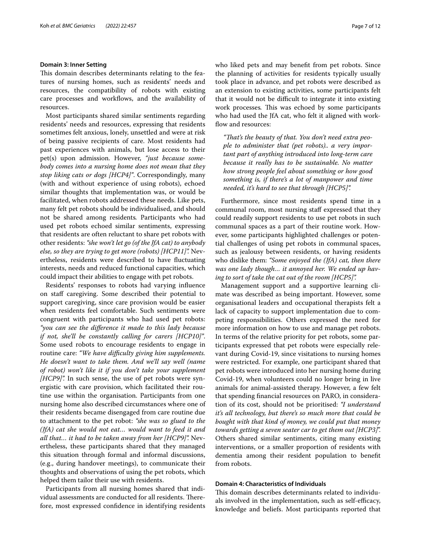#### **Domain 3: Inner Setting**

This domain describes determinants relating to the features of nursing homes, such as residents' needs and resources, the compatibility of robots with existing care processes and workflows, and the availability of resources.

Most participants shared similar sentiments regarding residents' needs and resources, expressing that residents sometimes felt anxious, lonely, unsettled and were at risk of being passive recipients of care. Most residents had past experiences with animals, but lose access to their pet(s) upon admission. However, *"just because somebody comes into a nursing home does not mean that they stop liking cats or dogs [HCP4]"*. Correspondingly, many (with and without experience of using robots), echoed similar thoughts that implementation was, or would be facilitated, when robots addressed these needs. Like pets, many felt pet robots should be individualised, and should not be shared among residents*.* Participants who had used pet robots echoed similar sentiments, expressing that residents are often reluctant to share pet robots with other residents: *"she won't let go (of the JfA cat) to anybody else, so they are trying to get more (robots) [HCP11]".* Nevertheless, residents were described to have fuctuating interests, needs and reduced functional capacities, which could impact their abilities to engage with pet robots.

Residents' responses to robots had varying infuence on staf caregiving. Some described their potential to support caregiving, since care provision would be easier when residents feel comfortable. Such sentiments were congruent with participants who had used pet robots: *"you can see the diference it made to this lady because if not, she'll be constantly calling for carers [HCP10]"*. Some used robots to encourage residents to engage in routine care: "We have difficulty giving him supplements. *He doesn't want to take them. And we'll say well (name of robot) won't like it if you don't take your supplement [HCP9]".* In such sense, the use of pet robots were synergistic with care provision, which facilitated their routine use within the organisation. Participants from one nursing home also described circumstances where one of their residents became disengaged from care routine due to attachment to the pet robot: *"she was so glued to the (JfA) cat she would not eat… would want to feed it and all that… it had to be taken away from her [HCP9]".* Nevertheless, these participants shared that they managed this situation through formal and informal discussions, (e.g., during handover meetings), to communicate their thoughts and observations of using the pet robots, which helped them tailor their use with residents.

Participants from all nursing homes shared that individual assessments are conducted for all residents. Therefore, most expressed confdence in identifying residents who liked pets and may beneft from pet robots. Since the planning of activities for residents typically usually took place in advance, and pet robots were described as an extension to existing activities, some participants felt that it would not be difficult to integrate it into existing work processes. This was echoed by some participants who had used the JfA cat, who felt it aligned with workflow and resources:

*"Tat's the beauty of that. You don't need extra people to administer that (pet robots).. a very important part of anything introduced into long-term care because it really has to be sustainable. No matter how strong people feel about something or how good something is, if there's a lot of manpower and time needed, it's hard to see that through [HCP5]".*

Furthermore, since most residents spend time in a communal room, most nursing staf expressed that they could readily support residents to use pet robots in such communal spaces as a part of their routine work. However, some participants highlighted challenges or potential challenges of using pet robots in communal spaces, such as jealousy between residents, or having residents who dislike them: *"Some enjoyed the (JfA) cat, then there was one lady though… it annoyed her. We ended up having to sort of take the cat out of the room [HCP5]".*

Management support and a supportive learning climate was described as being important. However, some organisational leaders and occupational therapists felt a lack of capacity to support implementation due to competing responsibilities. Others expressed the need for more information on how to use and manage pet robots. In terms of the relative priority for pet robots, some participants expressed that pet robots were especially relevant during Covid-19, since visitations to nursing homes were restricted. For example, one participant shared that pet robots were introduced into her nursing home during Covid-19, when volunteers could no longer bring in live animals for animal-assisted therapy. However, a few felt that spending fnancial resources on PARO, in consideration of its cost, should not be prioritised: *"I understand it's all technology, but there's so much more that could be bought with that kind of money, we could put that money towards getting a seven seater car to get them out [HCP3]*". Others shared similar sentiments, citing many existing interventions, or a smaller proportion of residents with dementia among their resident population to beneft from robots.

# **Domain 4: Characteristics of Individuals**

This domain describes determinants related to individuals involved in the implementation, such as self-efficacy, knowledge and beliefs. Most participants reported that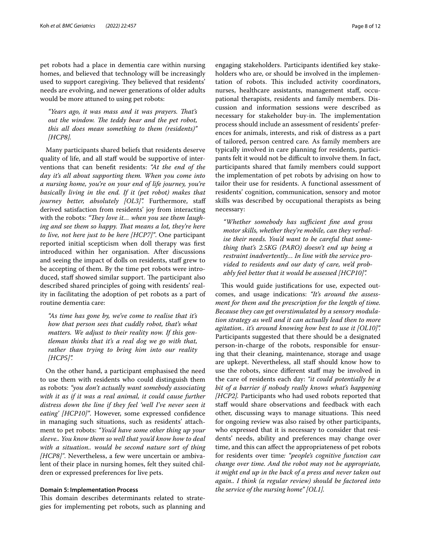pet robots had a place in dementia care within nursing homes, and believed that technology will be increasingly used to support caregiving. They believed that residents' needs are evolving, and newer generations of older adults would be more attuned to using pet robots:

*"Years ago, it was mass and it was prayers. Tat's out the window. The teddy bear and the pet robot, this all does mean something to them (residents)" [HCP8].*

Many participants shared beliefs that residents deserve quality of life, and all staf would be supportive of interventions that can beneft residents: *"At the end of the day it's all about supporting them. When you come into a nursing home, you're on your end of life journey, you're basically living in the end. If it (pet robot) makes that journey better, absolutely [OL3]".* Furthermore, staf derived satisfaction from residents' joy from interacting with the robots: "They love it... when you see them laugh*ing and see them so happy. That means a lot, they're here to live, not here just to be here [HCP7]"*. One participant reported initial scepticism when doll therapy was frst introduced within her organisation. After discussions and seeing the impact of dolls on residents, staff grew to be accepting of them. By the time pet robots were introduced, staff showed similar support. The participant also described shared principles of going with residents' reality in facilitating the adoption of pet robots as a part of routine dementia care:

*"As time has gone by, we've come to realise that it's how that person sees that cuddly robot, that's what matters. We adjust to their reality now. If this gentleman thinks that it's a real dog we go with that, rather than trying to bring him into our reality [HCP5]".*

On the other hand, a participant emphasised the need to use them with residents who could distinguish them as robots: *"you don't actually want somebody associating*  with it as if it was a real animal, it could cause further *distress down the line if they feel 'well I've never seen it eating' [HCP10]"*. However, some expressed confdence in managing such situations, such as residents' attachment to pet robots: *"You'd have some other thing up your sleeve.. You know them so well that you'd know how to deal with a situation.. would be second nature sort of thing [HCP8]"*. Nevertheless, a few were uncertain or ambivalent of their place in nursing homes, felt they suited children or expressed preferences for live pets.

# **Domain 5: Implementation Process**

This domain describes determinants related to strategies for implementing pet robots, such as planning and engaging stakeholders. Participants identifed key stakeholders who are, or should be involved in the implementation of robots. This included activity coordinators, nurses, healthcare assistants, management staf, occupational therapists, residents and family members. Discussion and information sessions were described as necessary for stakeholder buy-in. The implementation process should include an assessment of residents' preferences for animals, interests, and risk of distress as a part of tailored, person centred care*.* As family members are typically involved in care planning for residents, participants felt it would not be difficult to involve them. In fact, participants shared that family members could support the implementation of pet robots by advising on how to tailor their use for residents. A functional assessment of residents' cognition, communication, sensory and motor skills was described by occupational therapists as being necessary:

*"Whether somebody has sufcient fne and gross motor skills, whether they're mobile, can they verbalise their needs. You'd want to be careful that something that's 2.5KG (PARO) doesn't end up being a restraint inadvertently… In line with the service provided to residents and our duty of care, we'd probably feel better that it would be assessed [HCP10]".*

This would guide justifications for use, expected outcomes, and usage indications: *"It's around the assessment for them and the prescription for the length of time. Because they can get overstimulated by a sensory modulation strategy as well and it can actually lead then to more agitation.. it's around knowing how best to use it [OL10]".* Participants suggested that there should be a designated person-in-charge of the robots, responsible for ensuring that their cleaning, maintenance, storage and usage are upkept. Nevertheless, all staff should know how to use the robots, since different staff may be involved in the care of residents each day: *"it could potentially be a bit of a barrier if nobody really knows what's happening [HCP2].* Participants who had used robots reported that staff would share observations and feedback with each other, discussing ways to manage situations. This need for ongoing review was also raised by other participants, who expressed that it is necessary to consider that residents' needs, ability and preferences may change over time, and this can afect the appropriateness of pet robots for residents over time*: "people's cognitive function can change over time. And the robot may not be appropriate, it might end up in the back of a press and never taken out again.. I think (a regular review) should be factored into the service of the nursing home" [OL1].*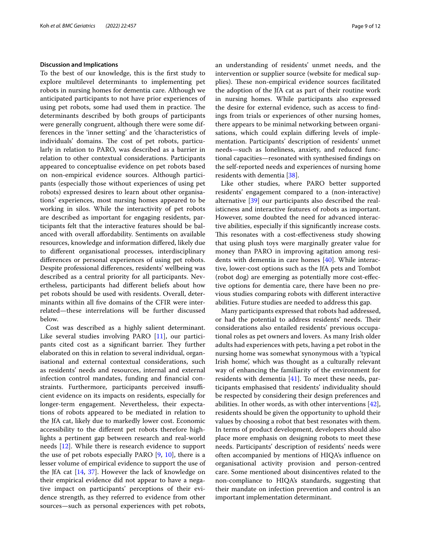#### **Discussion and Implications**

To the best of our knowledge, this is the frst study to explore multilevel determinants to implementing pet robots in nursing homes for dementia care. Although we anticipated participants to not have prior experiences of using pet robots, some had used them in practice. The determinants described by both groups of participants were generally congruent, although there were some differences in the 'inner setting' and the 'characteristics of individuals' domains. The cost of pet robots, particularly in relation to PARO, was described as a barrier in relation to other contextual considerations. Participants appeared to conceptualise evidence on pet robots based on non-empirical evidence sources. Although participants (especially those without experiences of using pet robots) expressed desires to learn about other organisations' experiences, most nursing homes appeared to be working in silos. While the interactivity of pet robots are described as important for engaging residents, participants felt that the interactive features should be balanced with overall afordability. Sentiments on available resources, knowledge and information difered, likely due to diferent organisational processes, interdisciplinary diferences or personal experiences of using pet robots. Despite professional diferences, residents' wellbeing was described as a central priority for all participants. Nevertheless, participants had diferent beliefs about how pet robots should be used with residents. Overall, determinants within all fve domains of the CFIR were interrelated—these interrelations will be further discussed below.

Cost was described as a highly salient determinant. Like several studies involving PARO [\[11](#page-10-10)], our participants cited cost as a significant barrier. They further elaborated on this in relation to several individual, organisational and external contextual considerations, such as residents' needs and resources, internal and external infection control mandates, funding and fnancial constraints. Furthermore, participants perceived insufficient evidence on its impacts on residents, especially for longer-term engagement. Nevertheless, their expectations of robots appeared to be mediated in relation to the JfA cat, likely due to markedly lower cost. Economic accessibility to the diferent pet robots therefore highlights a pertinent gap between research and real-world needs [\[12\]](#page-11-0). While there is research evidence to support the use of pet robots especially PARO [[9,](#page-10-8) [10](#page-10-9)], there is a lesser volume of empirical evidence to support the use of the JfA cat [[14,](#page-11-2) [37](#page-11-25)]. However the lack of knowledge on their empirical evidence did not appear to have a negative impact on participants' perceptions of their evidence strength, as they referred to evidence from other sources—such as personal experiences with pet robots,

an understanding of residents' unmet needs, and the intervention or supplier source (website for medical supplies). These non-empirical evidence sources facilitated the adoption of the JfA cat as part of their routine work in nursing homes. While participants also expressed the desire for external evidence, such as access to fndings from trials or experiences of other nursing homes, there appears to be minimal networking between organisations, which could explain difering levels of implementation. Participants' description of residents' unmet needs—such as loneliness, anxiety, and reduced functional capacities—resonated with synthesised fndings on the self-reported needs and experiences of nursing home residents with dementia [\[38](#page-11-26)].

Like other studies, where PARO better supported residents' engagement compared to a (non-interactive) alternative [\[39](#page-11-27)] our participants also described the realisticness and interactive features of robots as important. However, some doubted the need for advanced interactive abilities, especially if this signifcantly increase costs. This resonates with a cost-effectiveness study showing that using plush toys were marginally greater value for money than PARO in improving agitation among residents with dementia in care homes [[40\]](#page-11-28). While interactive, lower-cost options such as the JfA pets and Tombot (robot dog) are emerging as potentially more cost-efective options for dementia care, there have been no previous studies comparing robots with diferent interactive abilities. Future studies are needed to address this gap.

Many participants expressed that robots had addressed, or had the potential to address residents' needs. Their considerations also entailed residents' previous occupational roles as pet owners and lovers. As many Irish older adults had experiences with pets, having a pet robot in the nursing home was somewhat synonymous with a 'typical Irish home', which was thought as a culturally relevant way of enhancing the familiarity of the environment for residents with dementia [\[41\]](#page-11-29). To meet these needs, participants emphasised that residents' individuality should be respected by considering their design preferences and abilities. In other words, as with other interventions [\[42](#page-11-30)], residents should be given the opportunity to uphold their values by choosing a robot that best resonates with them. In terms of product development, developers should also place more emphasis on designing robots to meet these needs. Participants' description of residents' needs were often accompanied by mentions of HIQA's infuence on organisational activity provision and person-centred care. Some mentioned about disincentives related to the non-compliance to HIQA's standards, suggesting that their mandate on infection prevention and control is an important implementation determinant.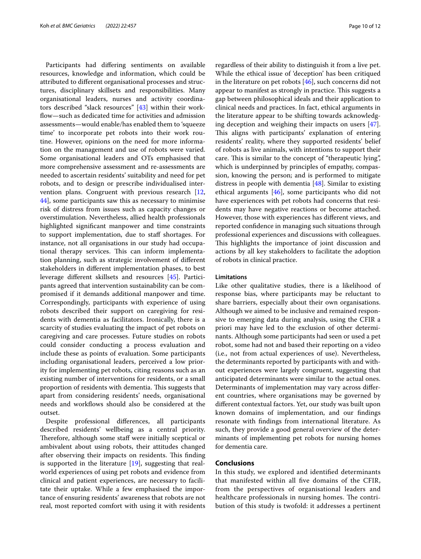Participants had difering sentiments on available resources, knowledge and information, which could be attributed to diferent organisational processes and structures, disciplinary skillsets and responsibilities. Many organisational leaders, nurses and activity coordinators described "slack resources" [\[43](#page-11-31)] within their workflow-such as dedicated time for activities and admission assessments—would enable/has enabled them to 'squeeze time' to incorporate pet robots into their work routine. However, opinions on the need for more information on the management and use of robots were varied. Some organisational leaders and OTs emphasised that more comprehensive assessment and re-assessments are needed to ascertain residents' suitability and need for pet robots, and to design or prescribe individualised intervention plans. Congruent with previous research [\[12](#page-11-0), [44\]](#page-11-32), some participants saw this as necessary to minimise risk of distress from issues such as capacity changes or overstimulation. Nevertheless, allied health professionals highlighted signifcant manpower and time constraints to support implementation, due to staf shortages. For instance, not all organisations in our study had occupational therapy services. This can inform implementation planning, such as strategic involvement of diferent stakeholders in diferent implementation phases, to best leverage diferent skillsets and resources [[45\]](#page-11-33). Participants agreed that intervention sustainability can be compromised if it demands additional manpower and time. Correspondingly, participants with experience of using robots described their support on caregiving for residents with dementia as facilitators. Ironically, there is a scarcity of studies evaluating the impact of pet robots on caregiving and care processes. Future studies on robots could consider conducting a process evaluation and include these as points of evaluation. Some participants including organisational leaders, perceived a low priority for implementing pet robots, citing reasons such as an existing number of interventions for residents, or a small proportion of residents with dementia. This suggests that apart from considering residents' needs, organisational needs and workflows should also be considered at the outset.

Despite professional diferences, all participants described residents' wellbeing as a central priority. Therefore, although some staff were initially sceptical or ambivalent about using robots, their attitudes changed after observing their impacts on residents. This finding is supported in the literature [[19\]](#page-11-7), suggesting that realworld experiences of using pet robots and evidence from clinical and patient experiences, are necessary to facilitate their uptake. While a few emphasised the importance of ensuring residents' awareness that robots are not real, most reported comfort with using it with residents regardless of their ability to distinguish it from a live pet. While the ethical issue of 'deception' has been critiqued in the literature on pet robots [\[46\]](#page-11-34), such concerns did not appear to manifest as strongly in practice. This suggests a gap between philosophical ideals and their application to clinical needs and practices. In fact, ethical arguments in the literature appear to be shifting towards acknowledging deception and weighing their impacts on users [\[47](#page-11-35)]. This aligns with participants' explanation of entering residents' reality, where they supported residents' belief of robots as live animals, with intentions to support their care. This is similar to the concept of "therapeutic lying", which is underpinned by principles of empathy, compassion, knowing the person; and is performed to mitigate distress in people with dementia [\[48](#page-11-36)]. Similar to existing ethical arguments [\[46\]](#page-11-34), some participants who did not have experiences with pet robots had concerns that residents may have negative reactions or become attached. However, those with experiences has diferent views, and reported confdence in managing such situations through professional experiences and discussions with colleagues. This highlights the importance of joint discussion and actions by all key stakeholders to facilitate the adoption of robots in clinical practice.

# **Limitations**

Like other qualitative studies, there is a likelihood of response bias, where participants may be reluctant to share barriers, especially about their own organisations. Although we aimed to be inclusive and remained responsive to emerging data during analysis, using the CFIR a priori may have led to the exclusion of other determinants. Although some participants had seen or used a pet robot, some had not and based their reporting on a video (i.e., not from actual experiences of use). Nevertheless, the determinants reported by participants with and without experiences were largely congruent, suggesting that anticipated determinants were similar to the actual ones. Determinants of implementation may vary across diferent countries, where organisations may be governed by diferent contextual factors. Yet, our study was built upon known domains of implementation, and our fndings resonate with fndings from international literature. As such, they provide a good general overview of the determinants of implementing pet robots for nursing homes for dementia care.

# **Conclusions**

In this study, we explored and identifed determinants that manifested within all fve domains of the CFIR, from the perspectives of organisational leaders and healthcare professionals in nursing homes. The contribution of this study is twofold: it addresses a pertinent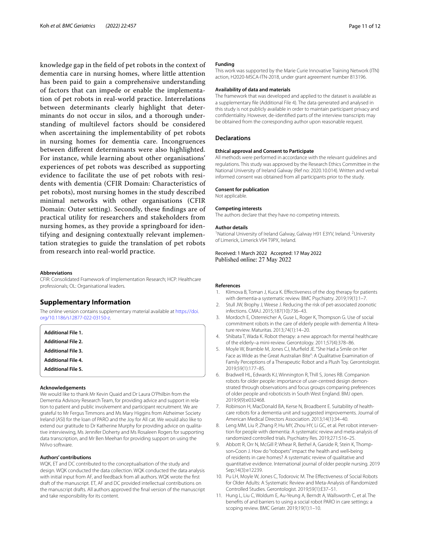knowledge gap in the feld of pet robots in the context of dementia care in nursing homes, where little attention has been paid to gain a comprehensive understanding of factors that can impede or enable the implementation of pet robots in real-world practice. Interrelations between determinants clearly highlight that determinants do not occur in silos, and a thorough understanding of multilevel factors should be considered when ascertaining the implementability of pet robots in nursing homes for dementia care. Incongruences between diferent determinants were also highlighted. For instance, while learning about other organisations' experiences of pet robots was described as supporting evidence to facilitate the use of pet robots with residents with dementia (CFIR Domain: Characteristics of pet robots), most nursing homes in the study described minimal networks with other organisations (CFIR Domain: Outer setting). Secondly, these fndings are of practical utility for researchers and stakeholders from nursing homes, as they provide a springboard for identifying and designing contextually relevant implementation strategies to guide the translation of pet robots from research into real-world practice.

#### **Abbreviations**

CFIR: Consolidated Framework of Implementation Research; HCP: Healthcare professionals; OL: Organisational leaders.

#### **Supplementary Information**

<span id="page-10-13"></span><span id="page-10-12"></span>The online version contains supplementary material available at [https://doi.](https://doi.org/10.1186/s12877-022-03150-z) [org/10.1186/s12877-022-03150-z.](https://doi.org/10.1186/s12877-022-03150-z)

<span id="page-10-11"></span>

#### <span id="page-10-15"></span>**Acknowledgements**

We would like to thank Mr Kevin Quaid and Dr Laura O'Philbin from the Dementia Advisory Research Team, for providing advice and support in relation to patient and public involvement and participant recruitment. We are grateful to Mr Fergus Timmons and Ms Mary Higgins from Alzheimer Society Ireland (ASI) for the loan of PARO and the Joy for All cat. We would also like to extend our gratitude to Dr Katherine Murphy for providing advice on qualitative interviewing, Ms Jennifer Doherty and Ms Rosaleen Rogers for supporting data transcription, and Mr Ben Meehan for providing support on using the NVivo software.

#### **Authors' contributions**

WQK, ET and DC contributed to the conceptualisation of the study and design. WQK conducted the data collection. WQK conducted the data analysis with initial input from AF, and feedback from all authors. WQK wrote the frst draft of the manuscript. ET, AF and DC provided intellectual contributions on the manuscript drafts. All authors approved the fnal version of the manuscript and take responsibility for its content.

#### **Funding**

This work was supported by the Marie Curie Innovative Training Network (ITN) action, H2020-MSCA-ITN-2018, under grant agreement number 813196.

#### **Availability of data and materials**

The framework that was developed and applied to the dataset is available as a supplementary fle (Additional File 4). The data generated and analysed in this study is not publicly available in order to maintain participant privacy and confdentiality. However, de-identifed parts of the interview transcripts may be obtained from the corresponding author upon reasonable request.

# **Declarations**

#### **Ethical approval and Consent to Participate**

All methods were performed in accordance with the relevant guidelines and regulations. This study was approved by the Research Ethics Committee in the National University of Ireland Galway (Ref no: 2020.10.014). Written and verbal informed consent was obtained from all participants prior to the study.

#### **Consent for publication**

Not applicable.

#### **Competing interests**

The authors declare that they have no competing interests.

#### **Author details**

<sup>1</sup> National University of Ireland Galway, Galway H91 E3YV, Ireland. <sup>2</sup> University of Limerick, Limerick V94 T9PX, Ireland.

Received: 1 March 2022 Accepted: 17 May 2022 Published online: 27 May 2022

#### **References**

- <span id="page-10-0"></span>Klimova B, Toman J, Kuca K. Effectiveness of the dog therapy for patients with dementia-a systematic review. BMC Psychiatry. 2019;19(1):1–7.
- <span id="page-10-1"></span>2. Stull JW, Brophy J, Weese J. Reducing the risk of pet-associated zoonotic infections. CMAJ. 2015;187(10):736–43.
- <span id="page-10-2"></span>3. Mordoch E, Osterreicher A, Guse L, Roger K, Thompson G. Use of social commitment robots in the care of elderly people with dementia: A literature review. Maturitas. 2013;74(1):14–20.
- <span id="page-10-3"></span>4. Shibata T, Wada K. Robot therapy: a new approach for mental healthcare of the elderly–a mini-review. Gerontology. 2011;57(4):378–86.
- <span id="page-10-14"></span><span id="page-10-4"></span>5. Moyle W, Bramble M, Jones CJ, Murfeld JE. "She Had a Smile on Her Face as Wide as the Great Australian Bite": A Qualitative Examination of Family Perceptions of a Therapeutic Robot and a Plush Toy. Gerontologist. 2019;59(1):177–85.
- <span id="page-10-5"></span>6. Bradwell HL, Edwards KJ, Winnington R, Thill S, Jones RB. Companion robots for older people: importance of user-centred design demonstrated through observations and focus groups comparing preferences of older people and roboticists in South West England. BMJ open. 2019;9(9):e032468.
- <span id="page-10-6"></span>7. Robinson H, MacDonald BA, Kerse N, Broadbent E. Suitability of healthcare robots for a dementia unit and suggested improvements. Journal of American Medical Directors Association. 2013;14(1):34–40.
- <span id="page-10-7"></span>8. Leng MM, Liu P, Zhang P, Hu MY, Zhou HY, Li GC, et al. Pet robot intervention for people with dementia: A systematic review and meta-analysis of randomized controlled trials. Psychiatry Res. 2019;271:516–25.
- <span id="page-10-8"></span>9. Abbott R, Orr N, McGill P, Whear R, Bethel A, Garside R, Stein K, Thompson-Coon J. How do "robopets" impact the health and well-being of residents in care homes? A systematic review of qualitative and quantitative evidence. International journal of older people nursing. 2019 Sep;14(3):e12239.
- <span id="page-10-9"></span>10. Pu LH, Moyle W, Jones C, Todorovic M. The Efectiveness of Social Robots for Older Adults: A Systematic Review and Meta-Analysis of Randomized Controlled Studies. Gerontologist. 2019;59(1):E37–51.
- <span id="page-10-10"></span>11. Hung L, Liu C, Woldum E, Au-Yeung A, Berndt A, Wallsworth C, et al. The benefts of and barriers to using a social robot PARO in care settings: a scoping review. BMC Geriatr. 2019;19(1):1–10.